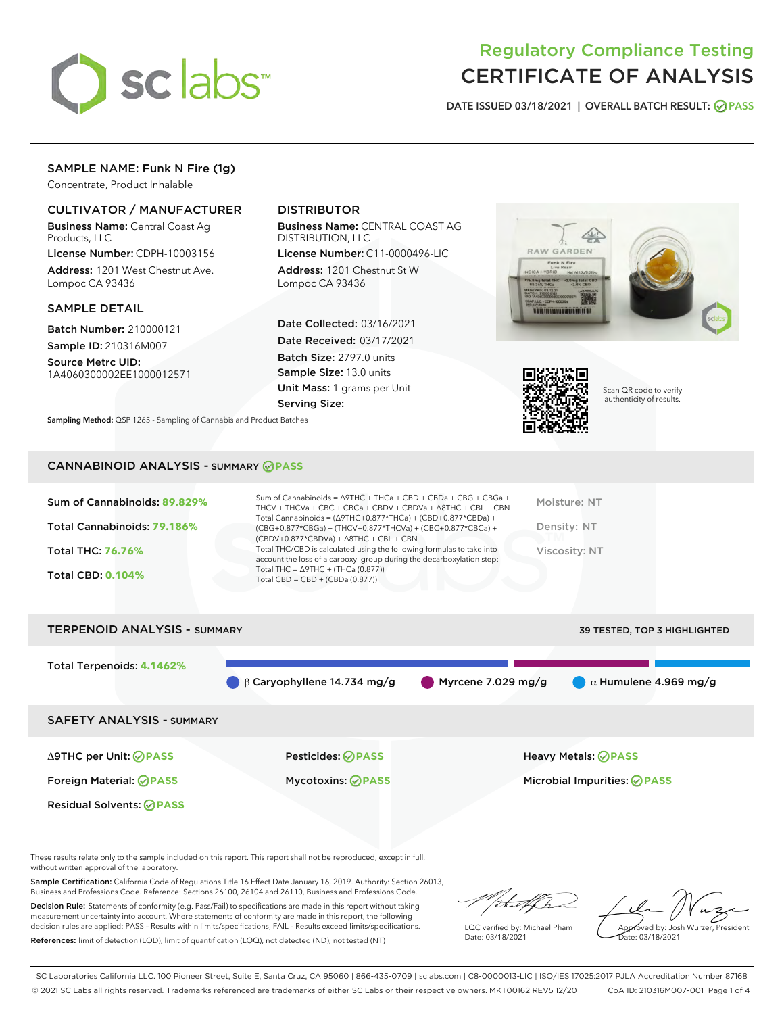

# Regulatory Compliance Testing CERTIFICATE OF ANALYSIS

DATE ISSUED 03/18/2021 | OVERALL BATCH RESULT: @ PASS

## SAMPLE NAME: Funk N Fire (1g)

Concentrate, Product Inhalable

## CULTIVATOR / MANUFACTURER

Business Name: Central Coast Ag Products, LLC

License Number: CDPH-10003156 Address: 1201 West Chestnut Ave. Lompoc CA 93436

#### SAMPLE DETAIL

Batch Number: 210000121 Sample ID: 210316M007

Source Metrc UID: 1A4060300002EE1000012571

## DISTRIBUTOR

Business Name: CENTRAL COAST AG DISTRIBUTION, LLC

License Number: C11-0000496-LIC Address: 1201 Chestnut St W Lompoc CA 93436

Date Collected: 03/16/2021 Date Received: 03/17/2021 Batch Size: 2797.0 units Sample Size: 13.0 units Unit Mass: 1 grams per Unit Serving Size:





Scan QR code to verify authenticity of results.

Sampling Method: QSP 1265 - Sampling of Cannabis and Product Batches

### CANNABINOID ANALYSIS - SUMMARY **PASS**

| Sum of Cannabinoids: 89.829% | Sum of Cannabinoids = $\triangle$ 9THC + THCa + CBD + CBDa + CBG + CBGa +<br>THCV + THCVa + CBC + CBCa + CBDV + CBDVa + $\Delta$ 8THC + CBL + CBN                                    | Moisture: NT  |
|------------------------------|--------------------------------------------------------------------------------------------------------------------------------------------------------------------------------------|---------------|
| Total Cannabinoids: 79.186%  | Total Cannabinoids = $(\Delta$ 9THC+0.877*THCa) + (CBD+0.877*CBDa) +<br>(CBG+0.877*CBGa) + (THCV+0.877*THCVa) + (CBC+0.877*CBCa) +<br>$(CBDV+0.877*CBDVa) + \Delta 8THC + CBL + CBN$ | Density: NT   |
| <b>Total THC: 76.76%</b>     | Total THC/CBD is calculated using the following formulas to take into<br>account the loss of a carboxyl group during the decarboxylation step:                                       | Viscosity: NT |
| <b>Total CBD: 0.104%</b>     | Total THC = $\triangle$ 9THC + (THCa (0.877))<br>Total CBD = CBD + (CBDa $(0.877)$ )                                                                                                 |               |
|                              |                                                                                                                                                                                      |               |



These results relate only to the sample included on this report. This report shall not be reproduced, except in full, without written approval of the laboratory.

Sample Certification: California Code of Regulations Title 16 Effect Date January 16, 2019. Authority: Section 26013, Business and Professions Code. Reference: Sections 26100, 26104 and 26110, Business and Professions Code.

Decision Rule: Statements of conformity (e.g. Pass/Fail) to specifications are made in this report without taking measurement uncertainty into account. Where statements of conformity are made in this report, the following decision rules are applied: PASS – Results within limits/specifications, FAIL – Results exceed limits/specifications. References: limit of detection (LOD), limit of quantification (LOQ), not detected (ND), not tested (NT)

that fCh

LQC verified by: Michael Pham Date: 03/18/2021

Approved by: Josh Wurzer, President ate: 03/18/2021

SC Laboratories California LLC. 100 Pioneer Street, Suite E, Santa Cruz, CA 95060 | 866-435-0709 | sclabs.com | C8-0000013-LIC | ISO/IES 17025:2017 PJLA Accreditation Number 87168 © 2021 SC Labs all rights reserved. Trademarks referenced are trademarks of either SC Labs or their respective owners. MKT00162 REV5 12/20 CoA ID: 210316M007-001 Page 1 of 4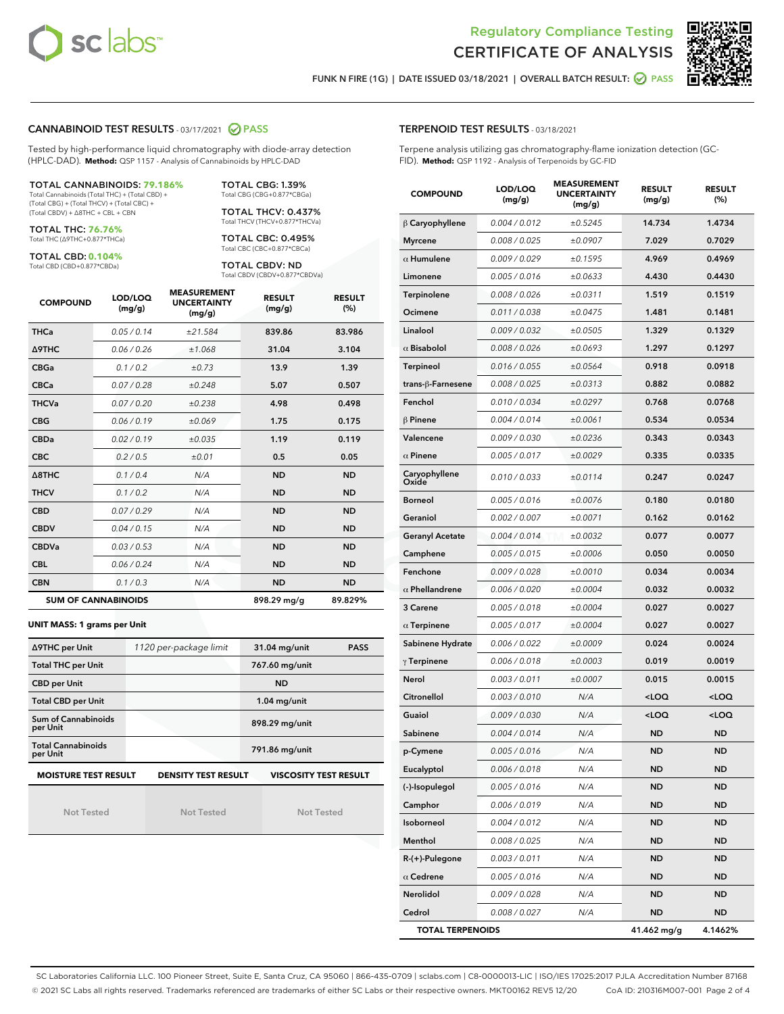



FUNK N FIRE (1G) | DATE ISSUED 03/18/2021 | OVERALL BATCH RESULT: @ PASS

#### CANNABINOID TEST RESULTS - 03/17/2021 2 PASS

Tested by high-performance liquid chromatography with diode-array detection (HPLC-DAD). **Method:** QSP 1157 - Analysis of Cannabinoids by HPLC-DAD

#### TOTAL CANNABINOIDS: **79.186%**

Total Cannabinoids (Total THC) + (Total CBD) + (Total CBG) + (Total THCV) + (Total CBC) + (Total CBDV) + ∆8THC + CBL + CBN

TOTAL THC: **76.76%** Total THC (∆9THC+0.877\*THCa)

TOTAL CBD: **0.104%**

Total CBD (CBD+0.877\*CBDa)

TOTAL CBG: 1.39% Total CBG (CBG+0.877\*CBGa)

TOTAL THCV: 0.437% Total THCV (THCV+0.877\*THCVa)

TOTAL CBC: 0.495% Total CBC (CBC+0.877\*CBCa)

TOTAL CBDV: ND Total CBDV (CBDV+0.877\*CBDVa)

| <b>COMPOUND</b>  | LOD/LOQ<br>(mg/g)          | <b>MEASUREMENT</b><br><b>UNCERTAINTY</b><br>(mg/g) | <b>RESULT</b><br>(mg/g) | <b>RESULT</b><br>(%) |
|------------------|----------------------------|----------------------------------------------------|-------------------------|----------------------|
| <b>THCa</b>      | 0.05 / 0.14                | ±21.584                                            | 839.86                  | 83.986               |
| <b>A9THC</b>     | 0.06 / 0.26                | ±1.068                                             | 31.04                   | 3.104                |
| <b>CBGa</b>      | 0.1 / 0.2                  | ±0.73                                              | 13.9                    | 1.39                 |
| <b>CBCa</b>      | 0.07/0.28                  | ±0.248                                             | 5.07                    | 0.507                |
| <b>THCVa</b>     | 0.07/0.20                  | ±0.238                                             | 4.98                    | 0.498                |
| <b>CBG</b>       | 0.06/0.19                  | ±0.069                                             | 1.75                    | 0.175                |
| <b>CBDa</b>      | 0.02/0.19                  | ±0.035                                             | 1.19                    | 0.119                |
| <b>CBC</b>       | 0.2 / 0.5                  | $\pm 0.01$                                         | 0.5                     | 0.05                 |
| $\triangle$ 8THC | 0.1/0.4                    | N/A                                                | <b>ND</b>               | <b>ND</b>            |
| <b>THCV</b>      | 0.1/0.2                    | N/A                                                | <b>ND</b>               | <b>ND</b>            |
| <b>CBD</b>       | 0.07/0.29                  | N/A                                                | <b>ND</b>               | <b>ND</b>            |
| <b>CBDV</b>      | 0.04 / 0.15                | N/A                                                | <b>ND</b>               | <b>ND</b>            |
| <b>CBDVa</b>     | 0.03/0.53                  | N/A                                                | <b>ND</b>               | <b>ND</b>            |
| <b>CBL</b>       | 0.06 / 0.24                | N/A                                                | <b>ND</b>               | <b>ND</b>            |
| <b>CBN</b>       | 0.1 / 0.3                  | N/A                                                | <b>ND</b>               | <b>ND</b>            |
|                  | <b>SUM OF CANNABINOIDS</b> |                                                    | 898.29 mg/g             | 89.829%              |

#### **UNIT MASS: 1 grams per Unit**

| ∆9THC per Unit                        | 1120 per-package limit     | 31.04 mg/unit<br><b>PASS</b> |  |  |
|---------------------------------------|----------------------------|------------------------------|--|--|
| <b>Total THC per Unit</b>             |                            | 767.60 mg/unit               |  |  |
| <b>CBD per Unit</b>                   |                            | <b>ND</b>                    |  |  |
| <b>Total CBD per Unit</b>             |                            | $1.04$ mg/unit               |  |  |
| Sum of Cannabinoids<br>per Unit       |                            | 898.29 mg/unit               |  |  |
| <b>Total Cannabinoids</b><br>per Unit |                            | 791.86 mg/unit               |  |  |
| <b>MOISTURE TEST RESULT</b>           | <b>DENSITY TEST RESULT</b> | <b>VISCOSITY TEST RESULT</b> |  |  |

Not Tested

Not Tested

Not Tested

#### TERPENOID TEST RESULTS - 03/18/2021

Terpene analysis utilizing gas chromatography-flame ionization detection (GC-FID). **Method:** QSP 1192 - Analysis of Terpenoids by GC-FID

| <b>COMPOUND</b>         | LOD/LOQ<br>(mg/g) | <b>MEASUREMENT</b><br><b>UNCERTAINTY</b><br>(mg/g) | <b>RESULT</b><br>(mg/g)                         | <b>RESULT</b><br>(%) |
|-------------------------|-------------------|----------------------------------------------------|-------------------------------------------------|----------------------|
| $\beta$ Caryophyllene   | 0.004 / 0.012     | ±0.5245                                            | 14.734                                          | 1.4734               |
| <b>Myrcene</b>          | 0.008 / 0.025     | ±0.0907                                            | 7.029                                           | 0.7029               |
| $\alpha$ Humulene       | 0.009 / 0.029     | ±0.1595                                            | 4.969                                           | 0.4969               |
| Limonene                | 0.005 / 0.016     | ±0.0633                                            | 4.430                                           | 0.4430               |
| Terpinolene             | 0.008 / 0.026     | ±0.0311                                            | 1.519                                           | 0.1519               |
| Ocimene                 | 0.011 / 0.038     | ±0.0475                                            | 1.481                                           | 0.1481               |
| Linalool                | 0.009 / 0.032     | ±0.0505                                            | 1.329                                           | 0.1329               |
| $\alpha$ Bisabolol      | 0.008 / 0.026     | ±0.0693                                            | 1.297                                           | 0.1297               |
| <b>Terpineol</b>        | 0.016 / 0.055     | ±0.0564                                            | 0.918                                           | 0.0918               |
| trans-β-Farnesene       | 0.008 / 0.025     | ±0.0313                                            | 0.882                                           | 0.0882               |
| Fenchol                 | 0.010 / 0.034     | ±0.0297                                            | 0.768                                           | 0.0768               |
| $\beta$ Pinene          | 0.004 / 0.014     | ±0.0061                                            | 0.534                                           | 0.0534               |
| Valencene               | 0.009 / 0.030     | ±0.0236                                            | 0.343                                           | 0.0343               |
| $\alpha$ Pinene         | 0.005 / 0.017     | ±0.0029                                            | 0.335                                           | 0.0335               |
| Caryophyllene<br>Oxide  | 0.010 / 0.033     | ±0.0114                                            | 0.247                                           | 0.0247               |
| <b>Borneol</b>          | 0.005 / 0.016     | ±0.0076                                            | 0.180                                           | 0.0180               |
| Geraniol                | 0.002 / 0.007     | ±0.0071                                            | 0.162                                           | 0.0162               |
| <b>Geranyl Acetate</b>  | 0.004 / 0.014     | ±0.0032                                            | 0.077                                           | 0.0077               |
| Camphene                | 0.005 / 0.015     | ±0.0006                                            | 0.050                                           | 0.0050               |
| Fenchone                | 0.009 / 0.028     | ±0.0010                                            | 0.034                                           | 0.0034               |
| $\alpha$ Phellandrene   | 0.006 / 0.020     | ±0.0004                                            | 0.032                                           | 0.0032               |
| 3 Carene                | 0.005 / 0.018     | ±0.0004                                            | 0.027                                           | 0.0027               |
| $\alpha$ Terpinene      | 0.005 / 0.017     | ±0.0004                                            | 0.027                                           | 0.0027               |
| Sabinene Hydrate        | 0.006 / 0.022     | ±0.0009                                            | 0.024                                           | 0.0024               |
| $\gamma$ Terpinene      | 0.006 / 0.018     | ±0.0003                                            | 0.019                                           | 0.0019               |
| Nerol                   | 0.003 / 0.011     | ±0.0007                                            | 0.015                                           | 0.0015               |
| Citronellol             | 0.003 / 0.010     | N/A                                                | <loq< th=""><th><loq< th=""></loq<></th></loq<> | <loq< th=""></loq<>  |
| Guaiol                  | 0.009 / 0.030     | N/A                                                | <loq< th=""><th><loq< th=""></loq<></th></loq<> | <loq< th=""></loq<>  |
| Sabinene                | 0.004 / 0.014     | N/A                                                | ND                                              | <b>ND</b>            |
| p-Cymene                | 0.005 / 0.016     | N/A                                                | <b>ND</b>                                       | <b>ND</b>            |
| Eucalyptol              | 0.006 / 0.018     | N/A                                                | ND                                              | ND                   |
| (-)-Isopulegol          | 0.005 / 0.016     | N/A                                                | ND                                              | ND                   |
| Camphor                 | 0.006 / 0.019     | N/A                                                | <b>ND</b>                                       | ND                   |
| Isoborneol              | 0.004 / 0.012     | N/A                                                | <b>ND</b>                                       | <b>ND</b>            |
| Menthol                 | 0.008 / 0.025     | N/A                                                | ND                                              | ND                   |
| R-(+)-Pulegone          | 0.003 / 0.011     | N/A                                                | ND                                              | ND                   |
| $\alpha$ Cedrene        | 0.005 / 0.016     | N/A                                                | <b>ND</b>                                       | ND                   |
| Nerolidol               | 0.009 / 0.028     | N/A                                                | ND                                              | ND                   |
| Cedrol                  | 0.008 / 0.027     | N/A                                                | <b>ND</b>                                       | ND                   |
| <b>TOTAL TERPENOIDS</b> |                   |                                                    | 41.462 mg/g                                     | 4.1462%              |

SC Laboratories California LLC. 100 Pioneer Street, Suite E, Santa Cruz, CA 95060 | 866-435-0709 | sclabs.com | C8-0000013-LIC | ISO/IES 17025:2017 PJLA Accreditation Number 87168 © 2021 SC Labs all rights reserved. Trademarks referenced are trademarks of either SC Labs or their respective owners. MKT00162 REV5 12/20 CoA ID: 210316M007-001 Page 2 of 4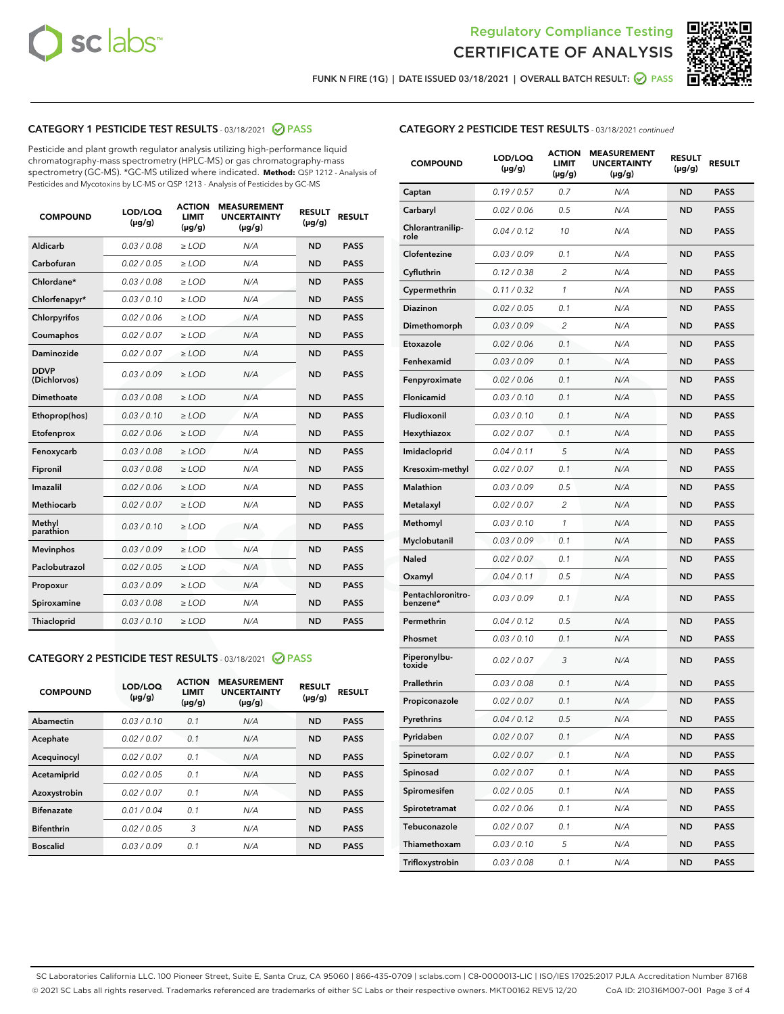



FUNK N FIRE (1G) | DATE ISSUED 03/18/2021 | OVERALL BATCH RESULT:  $\bigcirc$  PASS

## CATEGORY 1 PESTICIDE TEST RESULTS - 03/18/2021 2 PASS

Pesticide and plant growth regulator analysis utilizing high-performance liquid chromatography-mass spectrometry (HPLC-MS) or gas chromatography-mass spectrometry (GC-MS). \*GC-MS utilized where indicated. **Method:** QSP 1212 - Analysis of Pesticides and Mycotoxins by LC-MS or QSP 1213 - Analysis of Pesticides by GC-MS

| <b>COMPOUND</b>             | LOD/LOQ<br>$(\mu g/g)$ | <b>ACTION</b><br><b>LIMIT</b><br>$(\mu g/g)$ | <b>MEASUREMENT</b><br><b>UNCERTAINTY</b><br>$(\mu g/g)$ | <b>RESULT</b><br>$(\mu g/g)$ | <b>RESULT</b> |
|-----------------------------|------------------------|----------------------------------------------|---------------------------------------------------------|------------------------------|---------------|
| Aldicarb                    | 0.03 / 0.08            | $\ge$ LOD                                    | N/A                                                     | <b>ND</b>                    | <b>PASS</b>   |
| Carbofuran                  | 0.02 / 0.05            | $\ge$ LOD                                    | N/A                                                     | <b>ND</b>                    | <b>PASS</b>   |
| Chlordane*                  | 0.03/0.08              | $\ge$ LOD                                    | N/A                                                     | <b>ND</b>                    | <b>PASS</b>   |
| Chlorfenapyr*               | 0.03/0.10              | $\ge$ LOD                                    | N/A                                                     | <b>ND</b>                    | <b>PASS</b>   |
| Chlorpyrifos                | 0.02 / 0.06            | $\ge$ LOD                                    | N/A                                                     | <b>ND</b>                    | <b>PASS</b>   |
| Coumaphos                   | 0.02 / 0.07            | $\ge$ LOD                                    | N/A                                                     | <b>ND</b>                    | <b>PASS</b>   |
| Daminozide                  | 0.02/0.07              | $>$ LOD                                      | N/A                                                     | <b>ND</b>                    | <b>PASS</b>   |
| <b>DDVP</b><br>(Dichlorvos) | 0.03/0.09              | $>$ LOD                                      | N/A                                                     | <b>ND</b>                    | <b>PASS</b>   |
| Dimethoate                  | 0.03/0.08              | $\ge$ LOD                                    | N/A                                                     | <b>ND</b>                    | <b>PASS</b>   |
| Ethoprop(hos)               | 0.03/0.10              | $>$ LOD                                      | N/A                                                     | <b>ND</b>                    | <b>PASS</b>   |
| Etofenprox                  | 0.02 / 0.06            | $\ge$ LOD                                    | N/A                                                     | <b>ND</b>                    | <b>PASS</b>   |
| Fenoxycarb                  | 0.03/0.08              | $\ge$ LOD                                    | N/A                                                     | <b>ND</b>                    | <b>PASS</b>   |
| Fipronil                    | 0.03/0.08              | $>$ LOD                                      | N/A                                                     | <b>ND</b>                    | <b>PASS</b>   |
| Imazalil                    | 0.02 / 0.06            | $\ge$ LOD                                    | N/A                                                     | <b>ND</b>                    | <b>PASS</b>   |
| <b>Methiocarb</b>           | 0.02 / 0.07            | $\ge$ LOD                                    | N/A                                                     | <b>ND</b>                    | <b>PASS</b>   |
| Methyl<br>parathion         | 0.03/0.10              | $\ge$ LOD                                    | N/A                                                     | <b>ND</b>                    | <b>PASS</b>   |
| <b>Mevinphos</b>            | 0.03/0.09              | $\ge$ LOD                                    | N/A                                                     | <b>ND</b>                    | <b>PASS</b>   |
| Paclobutrazol               | 0.02 / 0.05            | $\ge$ LOD                                    | N/A                                                     | <b>ND</b>                    | <b>PASS</b>   |
| Propoxur                    | 0.03/0.09              | $\ge$ LOD                                    | N/A                                                     | <b>ND</b>                    | <b>PASS</b>   |
| Spiroxamine                 | 0.03 / 0.08            | $\ge$ LOD                                    | N/A                                                     | <b>ND</b>                    | <b>PASS</b>   |
| Thiacloprid                 | 0.03/0.10              | $\ge$ LOD                                    | N/A                                                     | <b>ND</b>                    | <b>PASS</b>   |

#### CATEGORY 2 PESTICIDE TEST RESULTS - 03/18/2021 @ PASS

| <b>COMPOUND</b>   | LOD/LOQ<br>$(\mu g/g)$ | <b>ACTION</b><br><b>LIMIT</b><br>$(\mu g/g)$ | <b>MEASUREMENT</b><br><b>UNCERTAINTY</b><br>$(\mu g/g)$ | <b>RESULT</b><br>$(\mu g/g)$ | <b>RESULT</b> |
|-------------------|------------------------|----------------------------------------------|---------------------------------------------------------|------------------------------|---------------|
| Abamectin         | 0.03/0.10              | 0.1                                          | N/A                                                     | <b>ND</b>                    | <b>PASS</b>   |
| Acephate          | 0.02/0.07              | 0.1                                          | N/A                                                     | <b>ND</b>                    | <b>PASS</b>   |
| Acequinocyl       | 0.02/0.07              | 0.1                                          | N/A                                                     | <b>ND</b>                    | <b>PASS</b>   |
| Acetamiprid       | 0.02/0.05              | 0.1                                          | N/A                                                     | <b>ND</b>                    | <b>PASS</b>   |
| Azoxystrobin      | 0.02/0.07              | 0.1                                          | N/A                                                     | <b>ND</b>                    | <b>PASS</b>   |
| <b>Bifenazate</b> | 0.01/0.04              | 0.1                                          | N/A                                                     | <b>ND</b>                    | <b>PASS</b>   |
| <b>Bifenthrin</b> | 0.02/0.05              | 3                                            | N/A                                                     | <b>ND</b>                    | <b>PASS</b>   |
| <b>Boscalid</b>   | 0.03/0.09              | 0.1                                          | N/A                                                     | <b>ND</b>                    | <b>PASS</b>   |

| <b>CATEGORY 2 PESTICIDE TEST RESULTS</b> - 03/18/2021 continued |
|-----------------------------------------------------------------|
|-----------------------------------------------------------------|

| <b>COMPOUND</b>               | LOD/LOQ<br>(µg/g) | <b>ACTION</b><br>LIMIT<br>(µg/g) | <b>MEASUREMENT</b><br><b>UNCERTAINTY</b><br>(µg/g) | <b>RESULT</b><br>(µg/g) | <b>RESULT</b> |
|-------------------------------|-------------------|----------------------------------|----------------------------------------------------|-------------------------|---------------|
| Captan                        | 0.19 / 0.57       | 0.7                              | N/A                                                | <b>ND</b>               | <b>PASS</b>   |
| Carbaryl                      | 0.02 / 0.06       | 0.5                              | N/A                                                | <b>ND</b>               | <b>PASS</b>   |
| Chlorantranilip-<br>role      | 0.04 / 0.12       | 10                               | N/A                                                | ND                      | PASS          |
| Clofentezine                  | 0.03 / 0.09       | 0.1                              | N/A                                                | ND                      | PASS          |
| Cyfluthrin                    | 0.12 / 0.38       | $\overline{c}$                   | N/A                                                | ND                      | <b>PASS</b>   |
| Cypermethrin                  | 0.11 / 0.32       | 1                                | N/A                                                | ND                      | PASS          |
| Diazinon                      | 0.02 / 0.05       | 0.1                              | N/A                                                | ND                      | PASS          |
| Dimethomorph                  | 0.03 / 0.09       | $\overline{2}$                   | N/A                                                | ND                      | PASS          |
| Etoxazole                     | 0.02 / 0.06       | 0.1                              | N/A                                                | ND                      | <b>PASS</b>   |
| Fenhexamid                    | 0.03 / 0.09       | 0.1                              | N/A                                                | ND                      | <b>PASS</b>   |
| Fenpyroximate                 | 0.02 / 0.06       | 0.1                              | N/A                                                | ND                      | PASS          |
| Flonicamid                    | 0.03 / 0.10       | 0.1                              | N/A                                                | ND                      | <b>PASS</b>   |
| Fludioxonil                   | 0.03/0.10         | 0.1                              | N/A                                                | ND                      | <b>PASS</b>   |
| Hexythiazox                   | 0.02 / 0.07       | 0.1                              | N/A                                                | ND                      | PASS          |
| Imidacloprid                  | 0.04 / 0.11       | 5                                | N/A                                                | ND                      | <b>PASS</b>   |
| Kresoxim-methyl               | 0.02 / 0.07       | 0.1                              | N/A                                                | ND                      | <b>PASS</b>   |
| <b>Malathion</b>              | 0.03 / 0.09       | 0.5                              | N/A                                                | ND                      | PASS          |
| Metalaxyl                     | 0.02 / 0.07       | 2                                | N/A                                                | ND                      | <b>PASS</b>   |
| Methomyl                      | 0.03 / 0.10       | 1                                | N/A                                                | ND                      | <b>PASS</b>   |
| Myclobutanil                  | 0.03 / 0.09       | 0.1                              | N/A                                                | ND                      | PASS          |
| Naled                         | 0.02 / 0.07       | 0.1                              | N/A                                                | ND                      | <b>PASS</b>   |
| Oxamyl                        | 0.04 / 0.11       | 0.5                              | N/A                                                | ND                      | PASS          |
| Pentachloronitro-<br>benzene* | 0.03 / 0.09       | 0.1                              | N/A                                                | ND                      | PASS          |
| Permethrin                    | 0.04 / 0.12       | 0.5                              | N/A                                                | ND                      | PASS          |
| Phosmet                       | 0.03 / 0.10       | 0.1                              | N/A                                                | ND                      | PASS          |
| Piperonylbu-<br>toxide        | 0.02 / 0.07       | 3                                | N/A                                                | ND                      | PASS          |
| Prallethrin                   | 0.03 / 0.08       | 0.1                              | N/A                                                | ND                      | <b>PASS</b>   |
| Propiconazole                 | 0.02 / 0.07       | 0.1                              | N/A                                                | ND                      | <b>PASS</b>   |
| Pyrethrins                    | 0.04 / 0.12       | 0.5                              | N/A                                                | ND,                     | PASS          |
| Pyridaben                     | 0.02 / 0.07       | 0.1                              | N/A                                                | ND                      | PASS          |
| Spinetoram                    | 0.02 / 0.07       | 0.1                              | N/A                                                | ND                      | <b>PASS</b>   |
| Spinosad                      | 0.02 / 0.07       | 0.1                              | N/A                                                | ND                      | <b>PASS</b>   |
| Spiromesifen                  | 0.02 / 0.05       | 0.1                              | N/A                                                | ND                      | <b>PASS</b>   |
| Spirotetramat                 | 0.02 / 0.06       | 0.1                              | N/A                                                | ND                      | <b>PASS</b>   |
| Tebuconazole                  | 0.02 / 0.07       | 0.1                              | N/A                                                | ND                      | <b>PASS</b>   |
| Thiamethoxam                  | 0.03 / 0.10       | 5                                | N/A                                                | ND                      | <b>PASS</b>   |
| Trifloxystrobin               | 0.03 / 0.08       | 0.1                              | N/A                                                | ND                      | <b>PASS</b>   |

SC Laboratories California LLC. 100 Pioneer Street, Suite E, Santa Cruz, CA 95060 | 866-435-0709 | sclabs.com | C8-0000013-LIC | ISO/IES 17025:2017 PJLA Accreditation Number 87168 © 2021 SC Labs all rights reserved. Trademarks referenced are trademarks of either SC Labs or their respective owners. MKT00162 REV5 12/20 CoA ID: 210316M007-001 Page 3 of 4